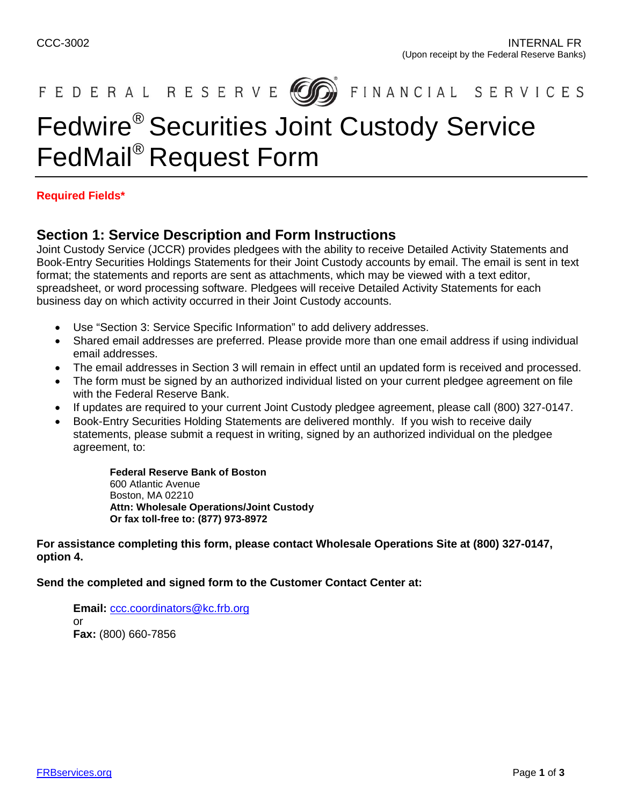

FEDERAL RESERVE **600** FINANCIAL SERVICES

# Fedwire® Securities Joint Custody Service FedMail® Request Form

#### **Required Fields\***

### **Section 1: Service Description and Form Instructions**

Joint Custody Service (JCCR) provides pledgees with the ability to receive Detailed Activity Statements and Book-Entry Securities Holdings Statements for their Joint Custody accounts by email. The email is sent in text format; the statements and reports are sent as attachments, which may be viewed with a text editor, spreadsheet, or word processing software. Pledgees will receive Detailed Activity Statements for each business day on which activity occurred in their Joint Custody accounts.

- Use "Section 3: Service Specific Information" to add delivery addresses.
- Shared email addresses are preferred. Please provide more than one email address if using individual email addresses.
- The email addresses in Section 3 will remain in effect until an updated form is received and processed.
- The form must be signed by an authorized individual listed on your current pledgee agreement on file with the Federal Reserve Bank.
- If updates are required to your current Joint Custody pledgee agreement, please call (800) 327-0147.
- Book-Entry Securities Holding Statements are delivered monthly. If you wish to receive daily statements, please submit a request in writing, signed by an authorized individual on the pledgee agreement, to:

**Federal Reserve Bank of Boston**  600 Atlantic Avenue Boston, MA 02210 **Attn: Wholesale Operations/Joint Custody Or fax toll-free to: (877) 973-8972** 

**For assistance completing this form, please contact Wholesale Operations Site at (800) 327-0147, option 4.** 

**Send the completed and signed form to the Customer Contact Center at:**

**Email:** [ccc.coordinators@kc.frb.org](mailto:ccc.coordinators@kc.frb.org) or **Fax:** (800) 660-7856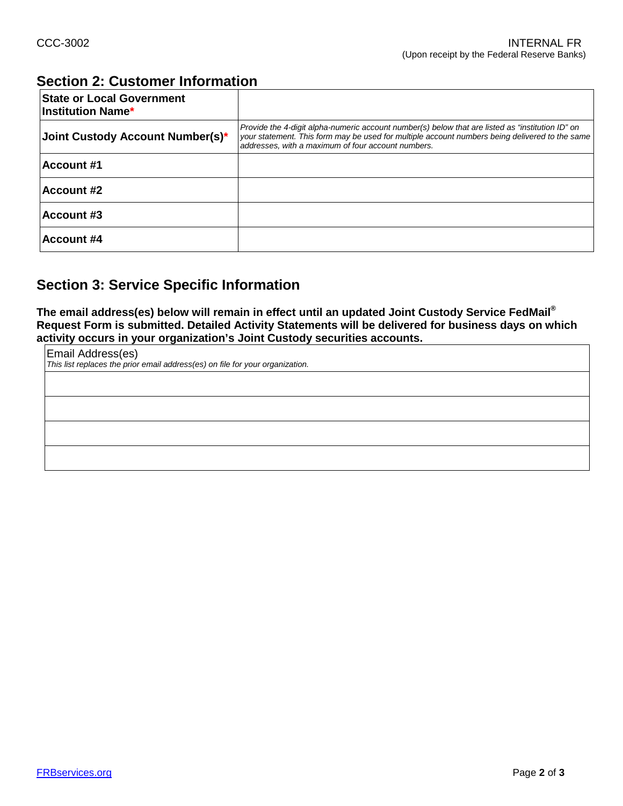# **Section 2: Customer Information**

| <b>State or Local Government</b><br><b>Institution Name*</b> |                                                                                                                                                                                                                                                          |
|--------------------------------------------------------------|----------------------------------------------------------------------------------------------------------------------------------------------------------------------------------------------------------------------------------------------------------|
| Joint Custody Account Number(s)*                             | Provide the 4-digit alpha-numeric account number(s) below that are listed as "institution ID" on<br>your statement. This form may be used for multiple account numbers being delivered to the same<br>addresses, with a maximum of four account numbers. |
| <b>Account #1</b>                                            |                                                                                                                                                                                                                                                          |
| <b>Account #2</b>                                            |                                                                                                                                                                                                                                                          |
| <b>Account #3</b>                                            |                                                                                                                                                                                                                                                          |
| <b>Account #4</b>                                            |                                                                                                                                                                                                                                                          |

## **Section 3: Service Specific Information**

**The email address(es) below will remain in effect until an updated Joint Custody Service FedMail® Request Form is submitted. Detailed Activity Statements will be delivered for business days on which activity occurs in your organization's Joint Custody securities accounts.**

| Email Address(es)<br>This list replaces the prior email address(es) on file for your organization. |  |  |  |  |  |
|----------------------------------------------------------------------------------------------------|--|--|--|--|--|
|                                                                                                    |  |  |  |  |  |
|                                                                                                    |  |  |  |  |  |
|                                                                                                    |  |  |  |  |  |
|                                                                                                    |  |  |  |  |  |